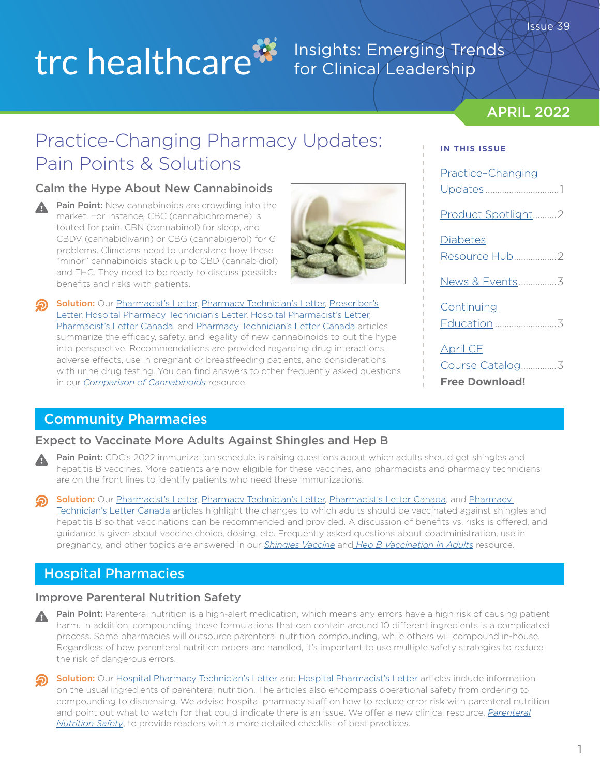# trc healthcare<sup>33</sup>

## Insights: Emerging Trends for Clinical Leadership

## APRIL 2022

Issue 39

# Practice-Changing Pharmacy Updates: Pain Points & Solutions

## Calm the Hype About New Cannabinoids

Pain Point: New cannabinoids are crowding into the А market. For instance, CBC (cannabichromene) is touted for pain, CBN (cannabinol) for sleep, and CBDV (cannabidivarin) or CBG (cannabigerol) for GI problems. Clinicians need to understand how these "minor" cannabinoids stack up to CBD (cannabidiol) and THC. They need to be ready to discuss possible benefits and risks with patients.

Solution: Our [Pharmacist's Letter](https://pharmacist.therapeuticresearch.com/en/Content/Articles/PL/2022/Apr/Calm-the-Hype-About-New-Cannabinoids?utm_source=hubspot&utm_medium=email&utm_campaign=april_2022_insights_newsletter), [Pharmacy Technician's Letter,](https://pharmacytech.therapeuticresearch.com/Content/Articles/PTL/2022/Apr/Expect-Buzz-About-New-Cannabinoids?utm_source=hubspot&utm_medium=email&utm_campaign=april_2022_insights_newsletter) [Prescriber's](https://prescriber.therapeuticresearch.com/Content/Articles/PRL/2022/Apr/Calm-the-Hype-About-New-Cannabinoids?utm_source=hubspot&utm_medium=email&utm_campaign=april_2022_insights_newsletter) [Letter,](https://prescriber.therapeuticresearch.com/Content/Articles/PRL/2022/Apr/Calm-the-Hype-About-New-Cannabinoids?utm_source=hubspot&utm_medium=email&utm_campaign=april_2022_insights_newsletter) [Hospital Pharmacy Technician's Letter](https://hospital-pharmacytech.therapeuticresearch.com/Content/Articles/PTLH/2022/Apr/Expect-Buzz-About-New-Cannabinoids?utm_source=hubspot&utm_medium=email&utm_campaign=april_2022_insights_newsletter), [Hospital Pharmacist's Letter,](https://hospital-pharmacist.therapeuticresearch.com/Content/Articles/PLH/2022/Apr/Watch-for-New-Cannabinoids-on-Home-Med-Lists?utm_source=hubspot&utm_medium=email&utm_campaign=april_2022_insights_newsletter) [Pharmacist's Letter Canada,](https://ca-pharmacist.therapeuticresearch.com/Content/Articles/PLC/2022/Apr/Calm-the-Hype-About-New-Cannabinoids?utm_source=hubspot&utm_medium=email&utm_campaign=april_2022_insights_newsletter) and [Pharmacy Technician's Letter Canada](https://ca-pharmacytech.therapeuticresearch.com/Content/Articles/PTLC/2022/Apr/Expect-Buzz-About-New-Cannabinoids?utm_source=hubspot&utm_medium=email&utm_campaign=april_2022_insights_newsletter) articles summarize the efficacy, safety, and legality of new cannabinoids to put the hype into perspective. Recommendations are provided regarding drug interactions, adverse effects, use in pregnant or breastfeeding patients, and considerations with urine drug testing. You can find answers to other frequently asked questions in our *[Comparison of Cannabinoids](https://pharmacist.therapeuticresearch.com/content/segments/prl/2018/sep/comparison-of-cannabinoids-12640?utm_source=hubspot&utm_medium=email&utm_campaign=april_2022_insights_newsletter)* resource.

Updates ..................................1 [Product Spotlight..........2](#page-1-0) **[Diabetes](#page-1-0)** [Resource Hub..................2](#page-1-0) News & Events................3 **[Continuing](#page-2-0)** Education [..........................3](#page-2-0) [April CE](#page-2-0) [Course Catalog...............3](#page-2-0)

**[Free Download!](https://daflpfl7n32bw.cloudfront.net/wp-content/uploads/2022/04/Apr-2022-CE-Catalog.pdf?utm_source=hubspot&utm_medium=email&utm_campaign=april_2022_insights_newsletter)**

**IN THIS ISSUE**

Practice–Changing

Community Pharmacies

## Expect to Vaccinate More Adults Against Shingles and Hep B

- Pain Point: CDC's 2022 immunization schedule is raising questions about which adults should get shingles and hepatitis B vaccines. More patients are now eligible for these vaccines, and pharmacists and pharmacy technicians are on the front lines to identify patients who need these immunizations.
- Solution: Our [Pharmacist's Letter](https://pharmacist.therapeuticresearch.com/Content/Articles/PL/2022/Apr/Expect-to-Vaccinate-More-Adults-Against-Shingles-and-Hep-B?utm_source=hubspot&utm_medium=email&utm_campaign=april_2022_insights_newsletter), [Pharmacy Technician's Letter,](https://pharmacytech.therapeuticresearch.com/Content/Articles/PTL/2022/Apr/Be-Ready-to-Dispense-More-Shingles-and-Hep-B-Vaccines?utm_source=hubspot&utm_medium=email&utm_campaign=april_2022_insights_newsletter) [Pharmacist's Letter Canada](https://ca-pharmacist.therapeuticresearch.com/Content/Articles/PLC/2022/Apr/Expect-to-Vaccinate-More-Adults-Against-Shingles?utm_source=hubspot&utm_medium=email&utm_campaign=april_2022_insights_newsletter), and Pharmacy [Technician's Letter Canada](https://ca-pharmacytech.therapeuticresearch.com/Content/Articles/PTLC/2022/Apr/Be-Ready-to-Dispense-More-Shingles-Vaccines?utm_source=hubspot&utm_medium=email&utm_campaign=april_2022_insights_newsletter) articles highlight the changes to which adults should be vaccinated against shingles and hepatitis B so that vaccinations can be recommended and provided. A discussion of benefits vs. risks is offered, and guidance is given about vaccine choice, dosing, etc. Frequently asked questions about coadministration, use in pregnancy, and other topics are answered in our *[Shingles Vaccine](https://pharmacist.therapeuticresearch.com/content/segments/prl/2016/dec/shingles-vaccine-faqs-10486?utm_source=hubspot&utm_medium=email&utm_campaign=april_2022_insights_newsletter)* and *[Hep B Vaccination in Adults](https://pharmacist.therapeuticresearch.com/content/segments/prl/2022/apr/hepatitis-b-vaccination-in-adults-s2204001?utm_source=hubspot&utm_medium=email&utm_campaign=april_2022_insights_newsletter)* resource.

## Hospital Pharmacies

## Improve Parenteral Nutrition Safety

Pain Point: Parenteral nutrition is a high-alert medication, which means any errors have a high risk of causing patient harm. In addition, compounding these formulations that can contain around 10 different ingredients is a complicated process. Some pharmacies will outsource parenteral nutrition compounding, while others will compound in-house. Regardless of how parenteral nutrition orders are handled, it's important to use multiple safety strategies to reduce the risk of dangerous errors.

Solution: Our [Hospital Pharmacy Technician's Letter](https://hospital-pharmacytech.therapeuticresearch.com/Content/Articles/PTLH/2022/Apr/Improve-Parenteral-Nutrition-Safety?utm_source=hubspot&utm_medium=email&utm_campaign=april_2022_insights_newsletter) and [Hospital Pharmacist's Letter](https://hospital-pharmacist.therapeuticresearch.com/Content/Articles/PLH/2022/Apr/Improve-Parenteral-Nutrition-Safety?utm_source=hubspot&utm_medium=email&utm_campaign=april_2022_insights_newsletter) articles include information on the usual ingredients of parenteral nutrition. The articles also encompass operational safety from ordering to compounding to dispensing. We advise hospital pharmacy staff on how to reduce error risk with parenteral nutrition and point out what to watch for that could indicate there is an issue. We offer a new clinical resource, *[Parenteral](https://hospital-pharmacist.therapeuticresearch.com/content/segments/prl/2022/apr/parenteral-nutrition-safety-s2204010?utm_source=hubspot&utm_medium=email&utm_campaign=april_2022_insights_newsletter) [Nutrition Safety](https://hospital-pharmacist.therapeuticresearch.com/content/segments/prl/2022/apr/parenteral-nutrition-safety-s2204010?utm_source=hubspot&utm_medium=email&utm_campaign=april_2022_insights_newsletter)*, to provide readers with a more detailed checklist of best practices.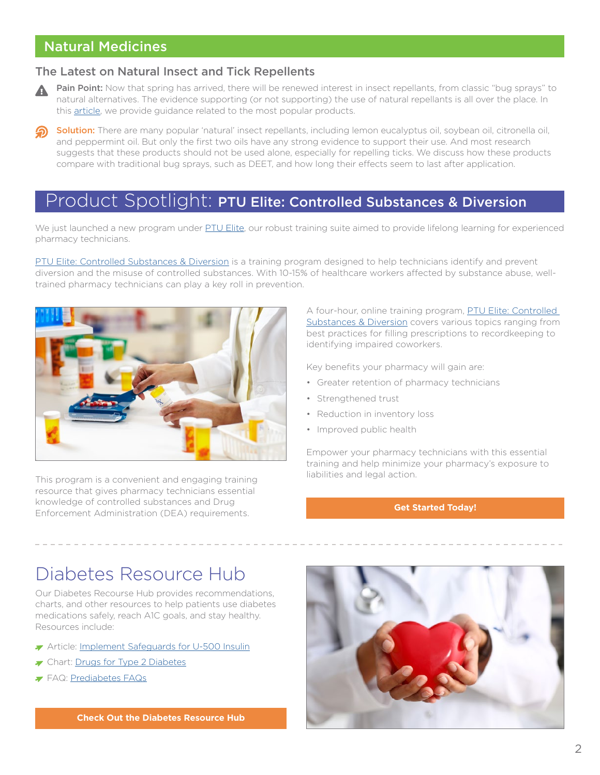## <span id="page-1-0"></span>Natural Medicines

#### The Latest on Natural Insect and Tick Repellents

- Pain Point: Now that spring has arrived, there will be renewed interest in insect repellants, from classic "bug sprays" to natural alternatives. The evidence supporting (or not supporting) the use of natural repellants is all over the place. In this [article](https://naturalmedicines.therapeuticresearch.com/news/news-items/2022/april/the-latest-on-natural-insect-and-tick-repellents.aspx?utm_source=hubspot&utm_medium=email&utm_campaign=april_2022_insights_newsletter), we provide guidance related to the most popular products.
- Solution: There are many popular 'natural' insect repellants, including lemon eucalyptus oil, soybean oil, citronella oil, and peppermint oil. But only the first two oils have any strong evidence to support their use. And most research suggests that these products should not be used alone, especially for repelling ticks. We discuss how these products compare with traditional bug sprays, such as DEET, and how long their effects seem to last after application.

# Product Spotlight: PTU Elite: Controlled Substances & Diversion

We just launched a new program under [PTU Elite](https://trchealthcare.com/about-us/products/ptu-elite/?utm_source=hubspot&utm_medium=email&utm_campaign=april_2022_insights_newsletter), our robust training suite aimed to provide lifelong learning for experienced pharmacy technicians.

[PTU Elite: Controlled Substances & Diversion](https://trchealthcare.com/about-us/products/ptu-elite/ptu-elite-controlled-substances-and-diversion?utm_source=hubspot&utm_medium=email&utm_campaign=april_2022_insights_newsletter) is a training program designed to help technicians identify and prevent diversion and the misuse of controlled substances. With 10-15% of healthcare workers affected by substance abuse, welltrained pharmacy technicians can play a key roll in prevention.



This program is a convenient and engaging training resource that gives pharmacy technicians essential knowledge of controlled substances and Drug Enforcement Administration (DEA) requirements.

A four-hour, online training program, PTU Elite: Controlled [Substances & Diversion](https://trchealthcare.com/about-us/products/ptu-elite/ptu-elite-controlled-substances-and-diversion?utm_source=hubspot&utm_medium=email&utm_campaign=april_2022_insights_newsletter) covers various topics ranging from best practices for filling prescriptions to recordkeeping to identifying impaired coworkers.

Key benefits your pharmacy will gain are:

- Greater retention of pharmacy technicians
- Strengthened trust
- Reduction in inventory loss
- Improved public health

Empower your pharmacy technicians with this essential training and help minimize your pharmacy's exposure to liabilities and legal action.

#### **[Get Started Today!](https://info.therapeuticresearch.com/ptu-enterprise-request-a-quote?utm_source=hubspot&utm_medium=email&utm_campaign=april_2022_insights_newsletter)**

# Diabetes Resource Hub

Our Diabetes Recourse Hub provides recommendations, charts, and other resources to help patients use diabetes medications safely, reach A1C goals, and stay healthy. Resources include:

- Article: [Implement Safeguards for U-500 Insulin](https://pharmacist.therapeuticresearch.com/Content/Articles/PL/2022/Mar/Implement-Safeguards-for-U-500-Insulin?utm_source=hubspot&utm_medium=email&utm_campaign=april_2022_insights_newsletter)
- The Chart: [Drugs for Type 2 Diabetes](https://pharmacist.therapeuticresearch.com/Content/Segments/PRL/2015/Jun/Drugs-for-Type-2-Diabetes-8509?utm_source=hubspot&utm_medium=email&utm_campaign=april_2022_insights_newsletter)
- FAQ: [Prediabetes FAQs](https://pharmacist.therapeuticresearch.com/Content/Segments/PRL/2015/Aug/Prediabetes-FAQs-8723?utm_source=hubspot&utm_medium=email&utm_campaign=april_2022_insights_newsletter)



**[Check Out the Diabetes Resource Hub](https://pharmacist.therapeuticresearch.com/Content/Resource-Hub/All/Diabetes-Resource-Hub?utm_source=hubspot&utm_medium=email&utm_campaign=april_2022_insights_newsletter)**